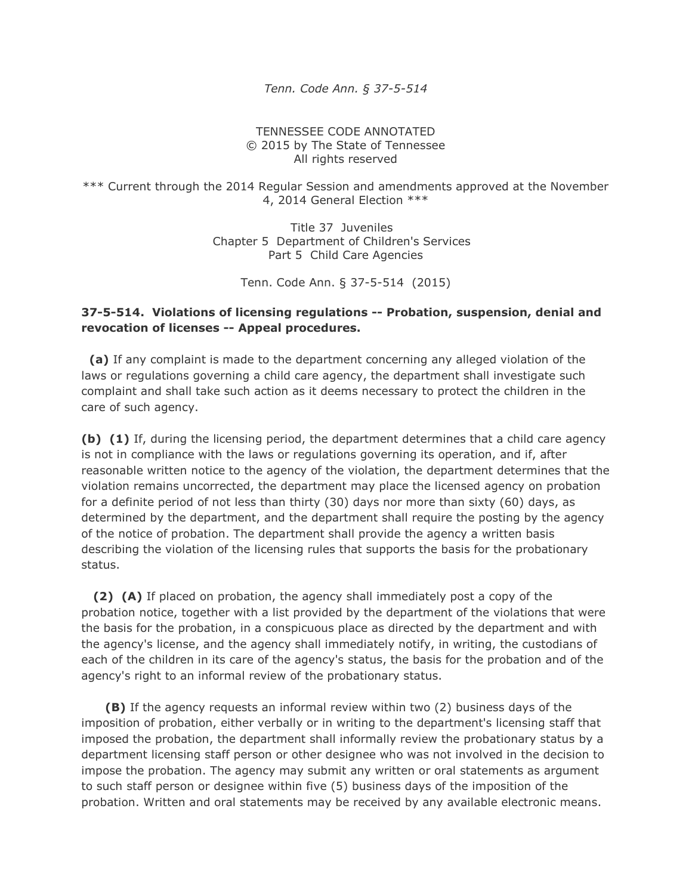*Tenn. Code Ann. § 37-5-514*

## TENNESSEE CODE ANNOTATED © 2015 by The State of Tennessee All rights reserved

\*\*\* Current through the 2014 Regular Session and amendments approved at the November 4, 2014 General Election \*\*\*

> Title 37 Juveniles Chapter 5 Department of Children's Services Part 5 Child Care Agencies

> > Tenn. Code Ann. § 37-5-514 (2015)

## **37-5-514. Violations of licensing regulations -- Probation, suspension, denial and revocation of licenses -- Appeal procedures.**

 **(a)** If any complaint is made to the department concerning any alleged violation of the laws or regulations governing a child care agency, the department shall investigate such complaint and shall take such action as it deems necessary to protect the children in the care of such agency.

**(b) (1)** If, during the licensing period, the department determines that a child care agency is not in compliance with the laws or regulations governing its operation, and if, after reasonable written notice to the agency of the violation, the department determines that the violation remains uncorrected, the department may place the licensed agency on probation for a definite period of not less than thirty (30) days nor more than sixty (60) days, as determined by the department, and the department shall require the posting by the agency of the notice of probation. The department shall provide the agency a written basis describing the violation of the licensing rules that supports the basis for the probationary status.

 **(2) (A)** If placed on probation, the agency shall immediately post a copy of the probation notice, together with a list provided by the department of the violations that were the basis for the probation, in a conspicuous place as directed by the department and with the agency's license, and the agency shall immediately notify, in writing, the custodians of each of the children in its care of the agency's status, the basis for the probation and of the agency's right to an informal review of the probationary status.

 **(B)** If the agency requests an informal review within two (2) business days of the imposition of probation, either verbally or in writing to the department's licensing staff that imposed the probation, the department shall informally review the probationary status by a department licensing staff person or other designee who was not involved in the decision to impose the probation. The agency may submit any written or oral statements as argument to such staff person or designee within five (5) business days of the imposition of the probation. Written and oral statements may be received by any available electronic means.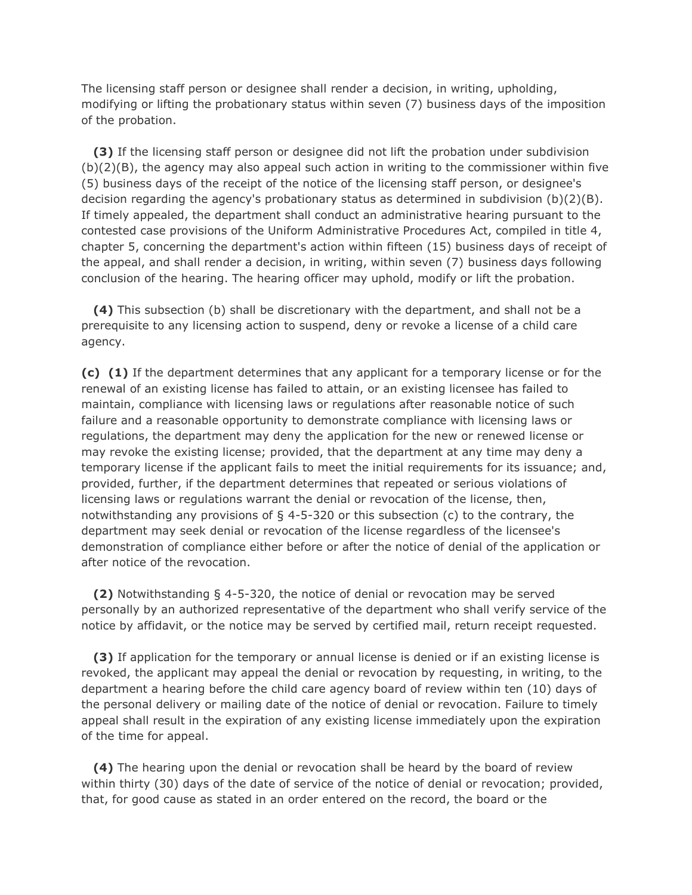The licensing staff person or designee shall render a decision, in writing, upholding, modifying or lifting the probationary status within seven (7) business days of the imposition of the probation.

 **(3)** If the licensing staff person or designee did not lift the probation under subdivision (b)(2)(B), the agency may also appeal such action in writing to the commissioner within five (5) business days of the receipt of the notice of the licensing staff person, or designee's decision regarding the agency's probationary status as determined in subdivision  $(b)(2)(B)$ . If timely appealed, the department shall conduct an administrative hearing pursuant to the contested case provisions of the Uniform Administrative Procedures Act, compiled in title 4, chapter 5, concerning the department's action within fifteen (15) business days of receipt of the appeal, and shall render a decision, in writing, within seven (7) business days following conclusion of the hearing. The hearing officer may uphold, modify or lift the probation.

 **(4)** This subsection (b) shall be discretionary with the department, and shall not be a prerequisite to any licensing action to suspend, deny or revoke a license of a child care agency.

**(c) (1)** If the department determines that any applicant for a temporary license or for the renewal of an existing license has failed to attain, or an existing licensee has failed to maintain, compliance with licensing laws or regulations after reasonable notice of such failure and a reasonable opportunity to demonstrate compliance with licensing laws or regulations, the department may deny the application for the new or renewed license or may revoke the existing license; provided, that the department at any time may deny a temporary license if the applicant fails to meet the initial requirements for its issuance; and, provided, further, if the department determines that repeated or serious violations of licensing laws or regulations warrant the denial or revocation of the license, then, notwithstanding any provisions of § 4-5-320 or this subsection (c) to the contrary, the department may seek denial or revocation of the license regardless of the licensee's demonstration of compliance either before or after the notice of denial of the application or after notice of the revocation.

 **(2)** Notwithstanding § 4-5-320, the notice of denial or revocation may be served personally by an authorized representative of the department who shall verify service of the notice by affidavit, or the notice may be served by certified mail, return receipt requested.

 **(3)** If application for the temporary or annual license is denied or if an existing license is revoked, the applicant may appeal the denial or revocation by requesting, in writing, to the department a hearing before the child care agency board of review within ten (10) days of the personal delivery or mailing date of the notice of denial or revocation. Failure to timely appeal shall result in the expiration of any existing license immediately upon the expiration of the time for appeal.

 **(4)** The hearing upon the denial or revocation shall be heard by the board of review within thirty (30) days of the date of service of the notice of denial or revocation; provided, that, for good cause as stated in an order entered on the record, the board or the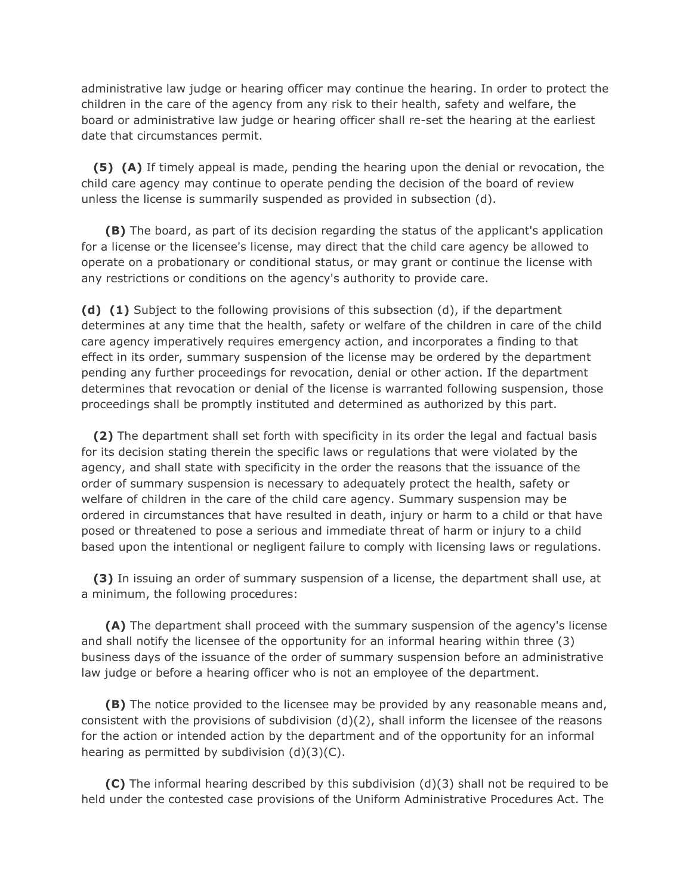administrative law judge or hearing officer may continue the hearing. In order to protect the children in the care of the agency from any risk to their health, safety and welfare, the board or administrative law judge or hearing officer shall re-set the hearing at the earliest date that circumstances permit.

 **(5) (A)** If timely appeal is made, pending the hearing upon the denial or revocation, the child care agency may continue to operate pending the decision of the board of review unless the license is summarily suspended as provided in subsection (d).

 **(B)** The board, as part of its decision regarding the status of the applicant's application for a license or the licensee's license, may direct that the child care agency be allowed to operate on a probationary or conditional status, or may grant or continue the license with any restrictions or conditions on the agency's authority to provide care.

**(d) (1)** Subject to the following provisions of this subsection (d), if the department determines at any time that the health, safety or welfare of the children in care of the child care agency imperatively requires emergency action, and incorporates a finding to that effect in its order, summary suspension of the license may be ordered by the department pending any further proceedings for revocation, denial or other action. If the department determines that revocation or denial of the license is warranted following suspension, those proceedings shall be promptly instituted and determined as authorized by this part.

 **(2)** The department shall set forth with specificity in its order the legal and factual basis for its decision stating therein the specific laws or regulations that were violated by the agency, and shall state with specificity in the order the reasons that the issuance of the order of summary suspension is necessary to adequately protect the health, safety or welfare of children in the care of the child care agency. Summary suspension may be ordered in circumstances that have resulted in death, injury or harm to a child or that have posed or threatened to pose a serious and immediate threat of harm or injury to a child based upon the intentional or negligent failure to comply with licensing laws or regulations.

 **(3)** In issuing an order of summary suspension of a license, the department shall use, at a minimum, the following procedures:

 **(A)** The department shall proceed with the summary suspension of the agency's license and shall notify the licensee of the opportunity for an informal hearing within three (3) business days of the issuance of the order of summary suspension before an administrative law judge or before a hearing officer who is not an employee of the department.

 **(B)** The notice provided to the licensee may be provided by any reasonable means and, consistent with the provisions of subdivision (d)(2), shall inform the licensee of the reasons for the action or intended action by the department and of the opportunity for an informal hearing as permitted by subdivision (d)(3)(C).

 **(C)** The informal hearing described by this subdivision (d)(3) shall not be required to be held under the contested case provisions of the Uniform Administrative Procedures Act. The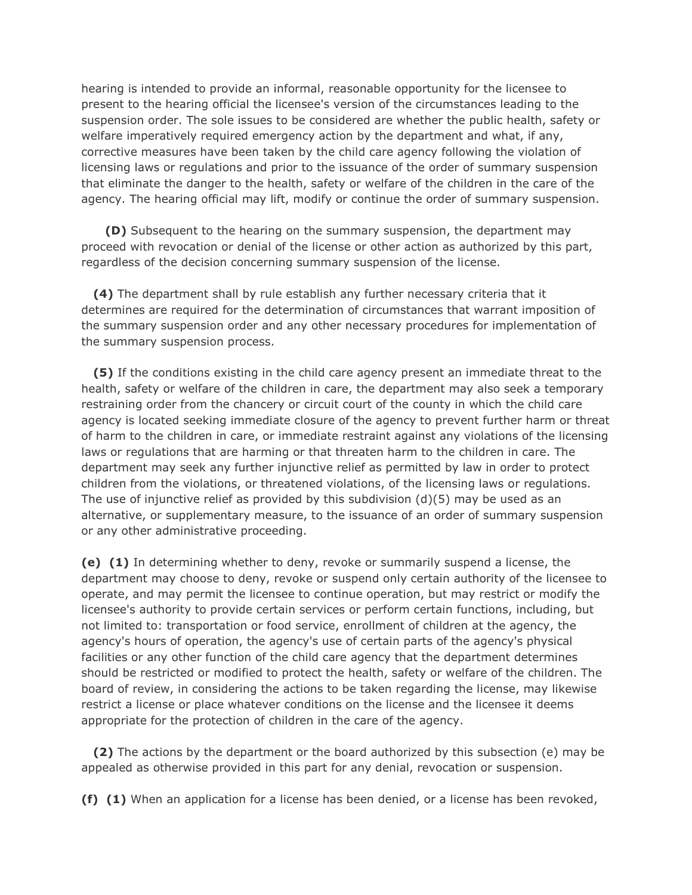hearing is intended to provide an informal, reasonable opportunity for the licensee to present to the hearing official the licensee's version of the circumstances leading to the suspension order. The sole issues to be considered are whether the public health, safety or welfare imperatively required emergency action by the department and what, if any, corrective measures have been taken by the child care agency following the violation of licensing laws or regulations and prior to the issuance of the order of summary suspension that eliminate the danger to the health, safety or welfare of the children in the care of the agency. The hearing official may lift, modify or continue the order of summary suspension.

 **(D)** Subsequent to the hearing on the summary suspension, the department may proceed with revocation or denial of the license or other action as authorized by this part, regardless of the decision concerning summary suspension of the license.

 **(4)** The department shall by rule establish any further necessary criteria that it determines are required for the determination of circumstances that warrant imposition of the summary suspension order and any other necessary procedures for implementation of the summary suspension process.

 **(5)** If the conditions existing in the child care agency present an immediate threat to the health, safety or welfare of the children in care, the department may also seek a temporary restraining order from the chancery or circuit court of the county in which the child care agency is located seeking immediate closure of the agency to prevent further harm or threat of harm to the children in care, or immediate restraint against any violations of the licensing laws or regulations that are harming or that threaten harm to the children in care. The department may seek any further injunctive relief as permitted by law in order to protect children from the violations, or threatened violations, of the licensing laws or regulations. The use of injunctive relief as provided by this subdivision  $(d)(5)$  may be used as an alternative, or supplementary measure, to the issuance of an order of summary suspension or any other administrative proceeding.

**(e) (1)** In determining whether to deny, revoke or summarily suspend a license, the department may choose to deny, revoke or suspend only certain authority of the licensee to operate, and may permit the licensee to continue operation, but may restrict or modify the licensee's authority to provide certain services or perform certain functions, including, but not limited to: transportation or food service, enrollment of children at the agency, the agency's hours of operation, the agency's use of certain parts of the agency's physical facilities or any other function of the child care agency that the department determines should be restricted or modified to protect the health, safety or welfare of the children. The board of review, in considering the actions to be taken regarding the license, may likewise restrict a license or place whatever conditions on the license and the licensee it deems appropriate for the protection of children in the care of the agency.

 **(2)** The actions by the department or the board authorized by this subsection (e) may be appealed as otherwise provided in this part for any denial, revocation or suspension.

**(f) (1)** When an application for a license has been denied, or a license has been revoked,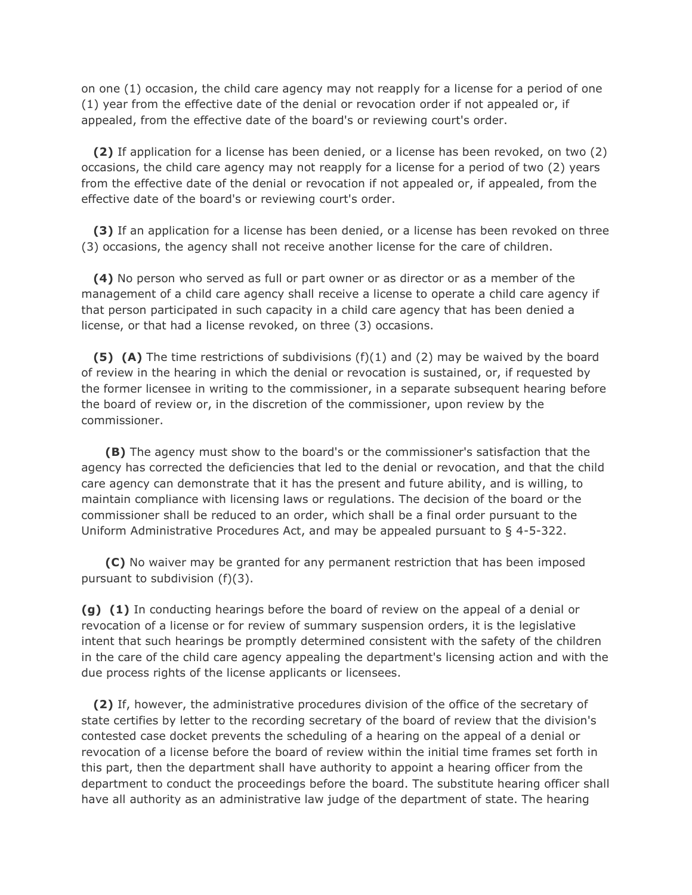on one (1) occasion, the child care agency may not reapply for a license for a period of one (1) year from the effective date of the denial or revocation order if not appealed or, if appealed, from the effective date of the board's or reviewing court's order.

 **(2)** If application for a license has been denied, or a license has been revoked, on two (2) occasions, the child care agency may not reapply for a license for a period of two (2) years from the effective date of the denial or revocation if not appealed or, if appealed, from the effective date of the board's or reviewing court's order.

 **(3)** If an application for a license has been denied, or a license has been revoked on three (3) occasions, the agency shall not receive another license for the care of children.

 **(4)** No person who served as full or part owner or as director or as a member of the management of a child care agency shall receive a license to operate a child care agency if that person participated in such capacity in a child care agency that has been denied a license, or that had a license revoked, on three (3) occasions.

 **(5) (A)** The time restrictions of subdivisions (f)(1) and (2) may be waived by the board of review in the hearing in which the denial or revocation is sustained, or, if requested by the former licensee in writing to the commissioner, in a separate subsequent hearing before the board of review or, in the discretion of the commissioner, upon review by the commissioner.

 **(B)** The agency must show to the board's or the commissioner's satisfaction that the agency has corrected the deficiencies that led to the denial or revocation, and that the child care agency can demonstrate that it has the present and future ability, and is willing, to maintain compliance with licensing laws or regulations. The decision of the board or the commissioner shall be reduced to an order, which shall be a final order pursuant to the Uniform Administrative Procedures Act, and may be appealed pursuant to § 4-5-322.

 **(C)** No waiver may be granted for any permanent restriction that has been imposed pursuant to subdivision (f)(3).

**(g) (1)** In conducting hearings before the board of review on the appeal of a denial or revocation of a license or for review of summary suspension orders, it is the legislative intent that such hearings be promptly determined consistent with the safety of the children in the care of the child care agency appealing the department's licensing action and with the due process rights of the license applicants or licensees.

 **(2)** If, however, the administrative procedures division of the office of the secretary of state certifies by letter to the recording secretary of the board of review that the division's contested case docket prevents the scheduling of a hearing on the appeal of a denial or revocation of a license before the board of review within the initial time frames set forth in this part, then the department shall have authority to appoint a hearing officer from the department to conduct the proceedings before the board. The substitute hearing officer shall have all authority as an administrative law judge of the department of state. The hearing